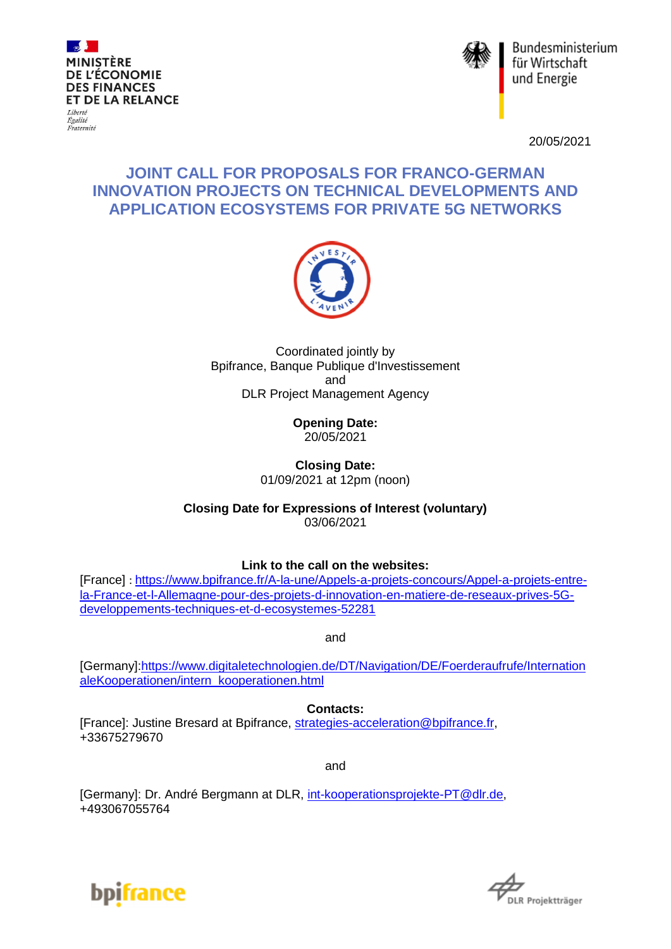



Bundesministerium für Wirtschaft und Energie

20/05/2021

# **JOINT CALL FOR PROPOSALS FOR FRANCO-GERMAN INNOVATION PROJECTS ON TECHNICAL DEVELOPMENTS AND APPLICATION ECOSYSTEMS FOR PRIVATE 5G NETWORKS**



Coordinated jointly by Bpifrance, Banque Publique d'Investissement and DLR Project Management Agency

> **Opening Date:** 20/05/2021

**Closing Date:** 01/09/2021 at 12pm (noon)

**Closing Date for Expressions of Interest (voluntary)** 03/06/2021

**Link to the call on the websites:**

[France] : [https://www.bpifrance.fr/A-la-une/Appels-a-projets-concours/Appel-a-projets-entre](https://www.bpifrance.fr/A-la-une/Appels-a-projets-concours/Appel-a-projets-entre-la-France-et-l-Allemagne-pour-des-projets-d-innovation-en-matiere-de-reseaux-prives-5G-developpements-techniques-et-d-ecosystemes-52281)[la-France-et-l-Allemagne-pour-des-projets-d-innovation-en-matiere-de-reseaux-prives-5G](https://www.bpifrance.fr/A-la-une/Appels-a-projets-concours/Appel-a-projets-entre-la-France-et-l-Allemagne-pour-des-projets-d-innovation-en-matiere-de-reseaux-prives-5G-developpements-techniques-et-d-ecosystemes-52281)[developpements-techniques-et-d-ecosystemes-52281](https://www.bpifrance.fr/A-la-une/Appels-a-projets-concours/Appel-a-projets-entre-la-France-et-l-Allemagne-pour-des-projets-d-innovation-en-matiere-de-reseaux-prives-5G-developpements-techniques-et-d-ecosystemes-52281)

and

[Germany][:https://www.digitaletechnologien.de/DT/Navigation/DE/Foerderaufrufe/Internation](https://www.digitaletechnologien.de/DT/Navigation/DE/Foerderaufrufe/InternationaleKooperationen/intern_kooperationen.html) [aleKooperationen/intern\\_kooperationen.html](https://www.digitaletechnologien.de/DT/Navigation/DE/Foerderaufrufe/InternationaleKooperationen/intern_kooperationen.html)

**Contacts:**

[France]: Justine Bresard at Bpifrance, [strategies-acceleration@bpifrance.fr,](mailto:strategies-acceleration@bpifrance.fr) +33675279670

and

[Germany]: Dr. André Bergmann at DLR, [int-kooperationsprojekte-PT@dlr.de,](mailto:int-kooperationsprojekte-PT@dlr.de) +493067055764



**IR Projektträger**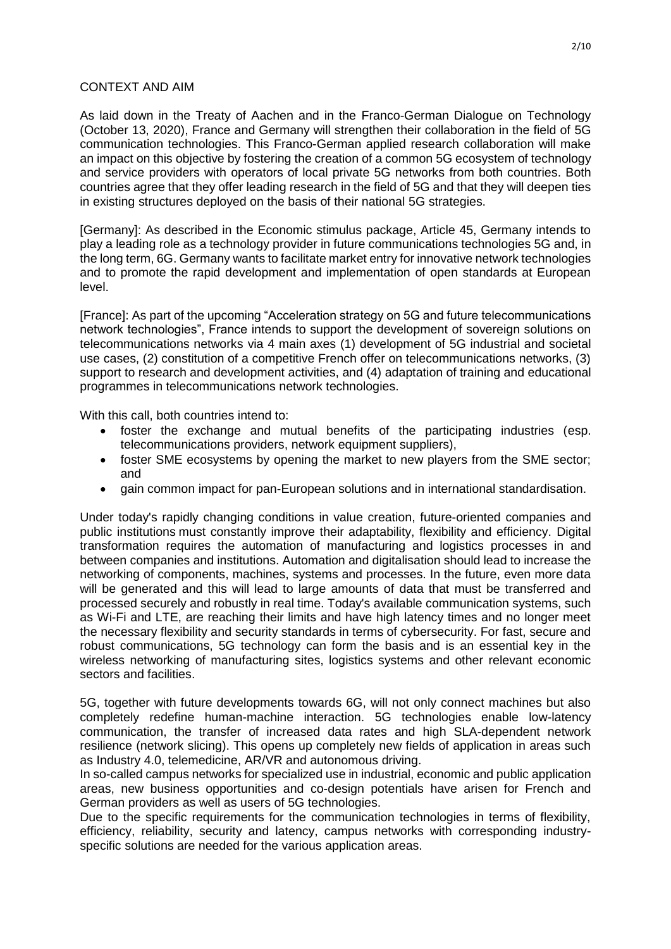#### CONTEXT AND AIM

As laid down in the Treaty of Aachen and in the Franco-German Dialogue on Technology (October 13, 2020), France and Germany will strengthen their collaboration in the field of 5G communication technologies. This Franco-German applied research collaboration will make an impact on this objective by fostering the creation of a common 5G ecosystem of technology and service providers with operators of local private 5G networks from both countries. Both countries agree that they offer leading research in the field of 5G and that they will deepen ties in existing structures deployed on the basis of their national 5G strategies.

[Germany]: As described in the Economic stimulus package, Article 45, Germany intends to play a leading role as a technology provider in future communications technologies 5G and, in the long term, 6G. Germany wants to facilitate market entry for innovative network technologies and to promote the rapid development and implementation of open standards at European level.

[France]: As part of the upcoming "Acceleration strategy on 5G and future telecommunications network technologies", France intends to support the development of sovereign solutions on telecommunications networks via 4 main axes (1) development of 5G industrial and societal use cases, (2) constitution of a competitive French offer on telecommunications networks, (3) support to research and development activities, and (4) adaptation of training and educational programmes in telecommunications network technologies.

With this call, both countries intend to:

- foster the exchange and mutual benefits of the participating industries (esp. telecommunications providers, network equipment suppliers),
- foster SME ecosystems by opening the market to new players from the SME sector; and
- gain common impact for pan-European solutions and in international standardisation.

Under today's rapidly changing conditions in value creation, future-oriented companies and public institutions must constantly improve their adaptability, flexibility and efficiency. Digital transformation requires the automation of manufacturing and logistics processes in and between companies and institutions. Automation and digitalisation should lead to increase the networking of components, machines, systems and processes. In the future, even more data will be generated and this will lead to large amounts of data that must be transferred and processed securely and robustly in real time. Today's available communication systems, such as Wi-Fi and LTE, are reaching their limits and have high latency times and no longer meet the necessary flexibility and security standards in terms of cybersecurity. For fast, secure and robust communications, 5G technology can form the basis and is an essential key in the wireless networking of manufacturing sites, logistics systems and other relevant economic sectors and facilities.

5G, together with future developments towards 6G, will not only connect machines but also completely redefine human-machine interaction. 5G technologies enable low-latency communication, the transfer of increased data rates and high SLA-dependent network resilience (network slicing). This opens up completely new fields of application in areas such as Industry 4.0, telemedicine, AR/VR and autonomous driving.

In so-called campus networks for specialized use in industrial, economic and public application areas, new business opportunities and co-design potentials have arisen for French and German providers as well as users of 5G technologies.

Due to the specific requirements for the communication technologies in terms of flexibility, efficiency, reliability, security and latency, campus networks with corresponding industryspecific solutions are needed for the various application areas.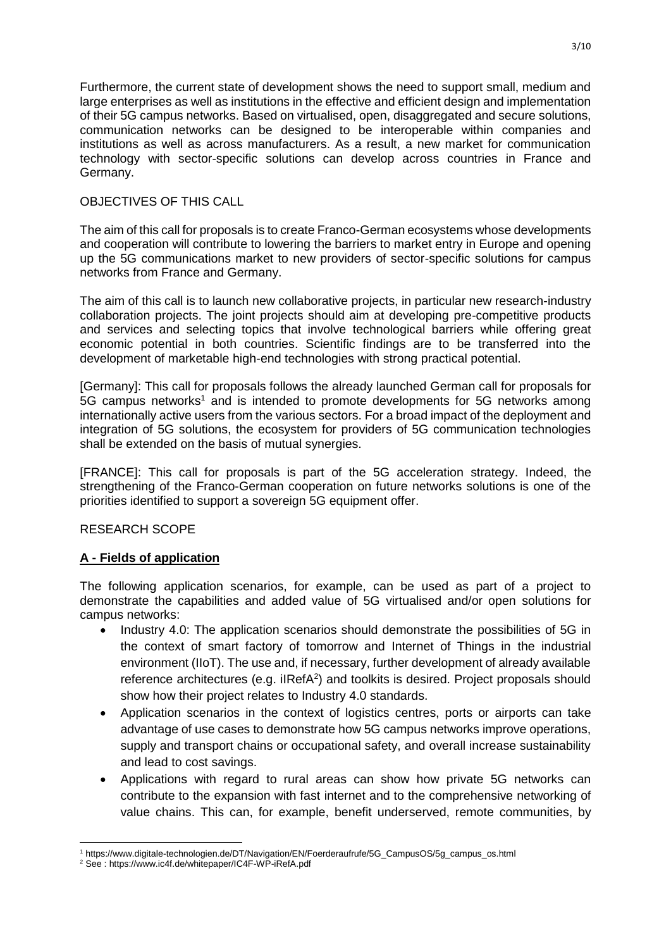Furthermore, the current state of development shows the need to support small, medium and large enterprises as well as institutions in the effective and efficient design and implementation of their 5G campus networks. Based on virtualised, open, disaggregated and secure solutions, communication networks can be designed to be interoperable within companies and institutions as well as across manufacturers. As a result, a new market for communication technology with sector-specific solutions can develop across countries in France and Germany.

#### OBJECTIVES OF THIS CALL

The aim of this call for proposals is to create Franco-German ecosystems whose developments and cooperation will contribute to lowering the barriers to market entry in Europe and opening up the 5G communications market to new providers of sector-specific solutions for campus networks from France and Germany.

The aim of this call is to launch new collaborative projects, in particular new research-industry collaboration projects. The joint projects should aim at developing pre-competitive products and services and selecting topics that involve technological barriers while offering great economic potential in both countries. Scientific findings are to be transferred into the development of marketable high-end technologies with strong practical potential.

[Germany]: This call for proposals follows the already launched German call for proposals for 5G campus networks<sup>1</sup> and is intended to promote developments for 5G networks among internationally active users from the various sectors. For a broad impact of the deployment and integration of 5G solutions, the ecosystem for providers of 5G communication technologies shall be extended on the basis of mutual synergies.

[FRANCE]: This call for proposals is part of the 5G acceleration strategy. Indeed, the strengthening of the Franco-German cooperation on future networks solutions is one of the priorities identified to support a sovereign 5G equipment offer.

#### RESEARCH SCOPE

## **A - Fields of application**

The following application scenarios, for example, can be used as part of a project to demonstrate the capabilities and added value of 5G virtualised and/or open solutions for campus networks:

- Industry 4.0: The application scenarios should demonstrate the possibilities of 5G in the context of smart factory of tomorrow and Internet of Things in the industrial environment (IIoT). The use and, if necessary, further development of already available reference architectures (e.g. ilRefA<sup>2</sup>) and toolkits is desired. Project proposals should show how their project relates to Industry 4.0 standards.
- Application scenarios in the context of logistics centres, ports or airports can take advantage of use cases to demonstrate how 5G campus networks improve operations, supply and transport chains or occupational safety, and overall increase sustainability and lead to cost savings.
- Applications with regard to rural areas can show how private 5G networks can contribute to the expansion with fast internet and to the comprehensive networking of value chains. This can, for example, benefit underserved, remote communities, by

 $\overline{\phantom{a}}$ <sup>1</sup> https://www.digitale-technologien.de/DT/Navigation/EN/Foerderaufrufe/5G\_CampusOS/5g\_campus\_os.html

<sup>&</sup>lt;sup>2</sup> See: https://www.ic4f.de/whitepaper/IC4F-WP-iRefA.pdf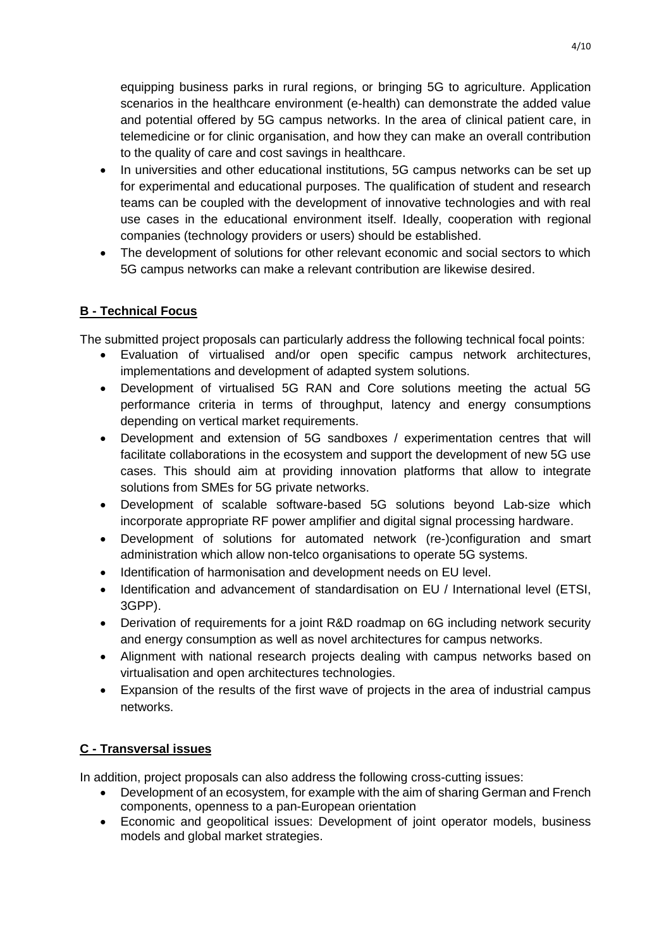equipping business parks in rural regions, or bringing 5G to agriculture. Application scenarios in the healthcare environment (e-health) can demonstrate the added value and potential offered by 5G campus networks. In the area of clinical patient care, in telemedicine or for clinic organisation, and how they can make an overall contribution to the quality of care and cost savings in healthcare.

- In universities and other educational institutions, 5G campus networks can be set up for experimental and educational purposes. The qualification of student and research teams can be coupled with the development of innovative technologies and with real use cases in the educational environment itself. Ideally, cooperation with regional companies (technology providers or users) should be established.
- The development of solutions for other relevant economic and social sectors to which 5G campus networks can make a relevant contribution are likewise desired.

## **B - Technical Focus**

The submitted project proposals can particularly address the following technical focal points:

- Evaluation of virtualised and/or open specific campus network architectures, implementations and development of adapted system solutions.
- Development of virtualised 5G RAN and Core solutions meeting the actual 5G performance criteria in terms of throughput, latency and energy consumptions depending on vertical market requirements.
- Development and extension of 5G sandboxes / experimentation centres that will facilitate collaborations in the ecosystem and support the development of new 5G use cases. This should aim at providing innovation platforms that allow to integrate solutions from SMEs for 5G private networks.
- Development of scalable software-based 5G solutions beyond Lab-size which incorporate appropriate RF power amplifier and digital signal processing hardware.
- Development of solutions for automated network (re-)configuration and smart administration which allow non-telco organisations to operate 5G systems.
- Identification of harmonisation and development needs on EU level.
- Identification and advancement of standardisation on EU / International level (ETSI, 3GPP).
- Derivation of requirements for a joint R&D roadmap on 6G including network security and energy consumption as well as novel architectures for campus networks.
- Alignment with national research projects dealing with campus networks based on virtualisation and open architectures technologies.
- Expansion of the results of the first wave of projects in the area of industrial campus networks.

## **C - Transversal issues**

In addition, project proposals can also address the following cross-cutting issues:

- Development of an ecosystem, for example with the aim of sharing German and French components, openness to a pan-European orientation
- Economic and geopolitical issues: Development of joint operator models, business models and global market strategies.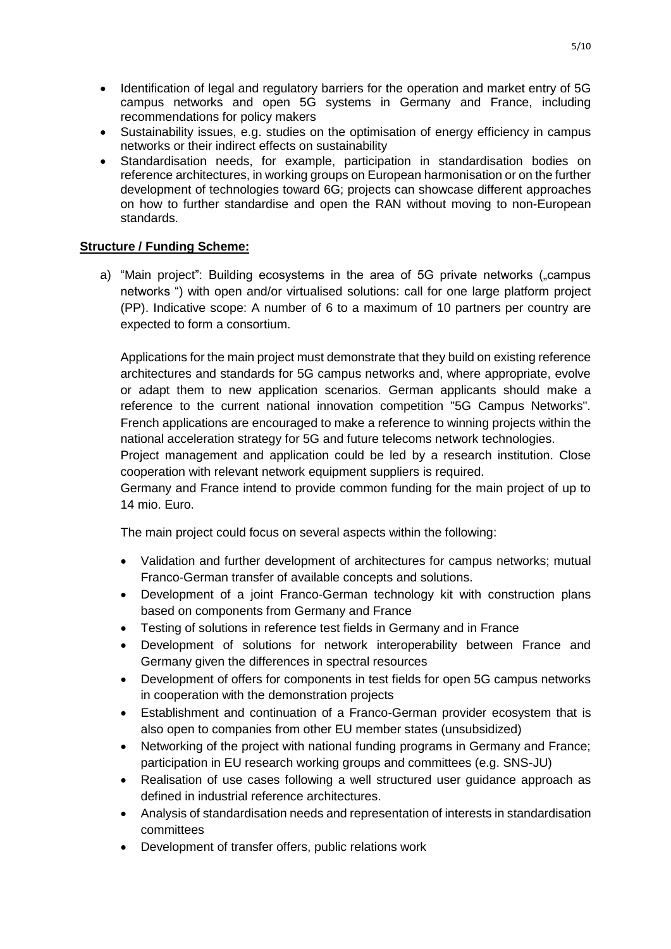- Identification of legal and regulatory barriers for the operation and market entry of 5G campus networks and open 5G systems in Germany and France, including recommendations for policy makers
- Sustainability issues, e.g. studies on the optimisation of energy efficiency in campus networks or their indirect effects on sustainability
- Standardisation needs, for example, participation in standardisation bodies on reference architectures, in working groups on European harmonisation or on the further development of technologies toward 6G; projects can showcase different approaches on how to further standardise and open the RAN without moving to non-European standards.

## **Structure / Funding Scheme:**

a) "Main project": Building ecosystems in the area of 5G private networks ("campus networks ") with open and/or virtualised solutions: call for one large platform project (PP). Indicative scope: A number of 6 to a maximum of 10 partners per country are expected to form a consortium.

Applications for the main project must demonstrate that they build on existing reference architectures and standards for 5G campus networks and, where appropriate, evolve or adapt them to new application scenarios. German applicants should make a reference to the current national innovation competition "5G Campus Networks". French applications are encouraged to make a reference to winning projects within the national acceleration strategy for 5G and future telecoms network technologies.

Project management and application could be led by a research institution. Close cooperation with relevant network equipment suppliers is required.

Germany and France intend to provide common funding for the main project of up to 14 mio. Euro.

The main project could focus on several aspects within the following:

- Validation and further development of architectures for campus networks; mutual Franco-German transfer of available concepts and solutions.
- Development of a joint Franco-German technology kit with construction plans based on components from Germany and France
- Testing of solutions in reference test fields in Germany and in France
- Development of solutions for network interoperability between France and Germany given the differences in spectral resources
- Development of offers for components in test fields for open 5G campus networks in cooperation with the demonstration projects
- Establishment and continuation of a Franco-German provider ecosystem that is also open to companies from other EU member states (unsubsidized)
- Networking of the project with national funding programs in Germany and France; participation in EU research working groups and committees (e.g. SNS-JU)
- Realisation of use cases following a well structured user guidance approach as defined in industrial reference architectures.
- Analysis of standardisation needs and representation of interests in standardisation committees
- Development of transfer offers, public relations work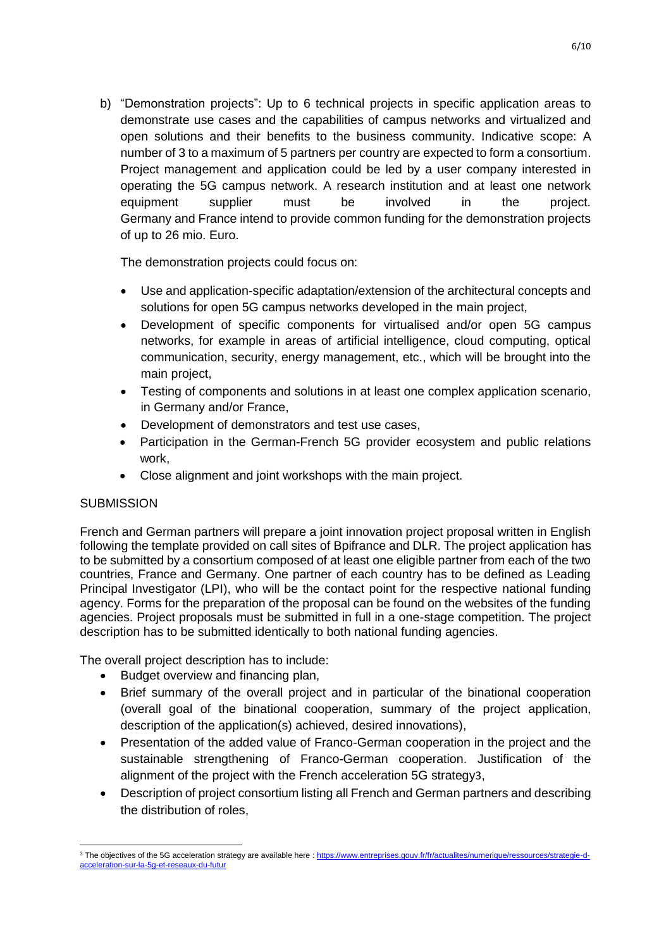b) "Demonstration projects": Up to 6 technical projects in specific application areas to demonstrate use cases and the capabilities of campus networks and virtualized and open solutions and their benefits to the business community. Indicative scope: A number of 3 to a maximum of 5 partners per country are expected to form a consortium. Project management and application could be led by a user company interested in operating the 5G campus network. A research institution and at least one network equipment supplier must be involved in the project. Germany and France intend to provide common funding for the demonstration projects of up to 26 mio. Euro.

The demonstration projects could focus on:

- Use and application-specific adaptation/extension of the architectural concepts and solutions for open 5G campus networks developed in the main project,
- Development of specific components for virtualised and/or open 5G campus networks, for example in areas of artificial intelligence, cloud computing, optical communication, security, energy management, etc., which will be brought into the main project,
- Testing of components and solutions in at least one complex application scenario, in Germany and/or France,
- Development of demonstrators and test use cases,
- Participation in the German-French 5G provider ecosystem and public relations work,
- Close alignment and joint workshops with the main project.

## **SUBMISSION**

French and German partners will prepare a joint innovation project proposal written in English following the template provided on call sites of Bpifrance and DLR. The project application has to be submitted by a consortium composed of at least one eligible partner from each of the two countries, France and Germany. One partner of each country has to be defined as Leading Principal Investigator (LPI), who will be the contact point for the respective national funding agency. Forms for the preparation of the proposal can be found on the websites of the funding agencies. Project proposals must be submitted in full in a one-stage competition. The project description has to be submitted identically to both national funding agencies.

The overall project description has to include:

- Budget overview and financing plan,
- Brief summary of the overall project and in particular of the binational cooperation (overall goal of the binational cooperation, summary of the project application, description of the application(s) achieved, desired innovations),
- Presentation of the added value of Franco-German cooperation in the project and the sustainable strengthening of Franco-German cooperation. Justification of the alignment of the project with the French acceleration 5G strategy3,
- Description of project consortium listing all French and German partners and describing the distribution of roles,

 $\overline{\phantom{a}}$ <sup>3</sup> The objectives of the 5G acceleration strategy are available here [: https://www.entreprises.gouv.fr/fr/actualites/numerique/ressources/strategie-d](https://www.entreprises.gouv.fr/fr/actualites/numerique/ressources/strategie-d-acceleration-sur-la-5g-et-reseaux-du-futur)[acceleration-sur-la-5g-et-reseaux-du-futur](https://www.entreprises.gouv.fr/fr/actualites/numerique/ressources/strategie-d-acceleration-sur-la-5g-et-reseaux-du-futur)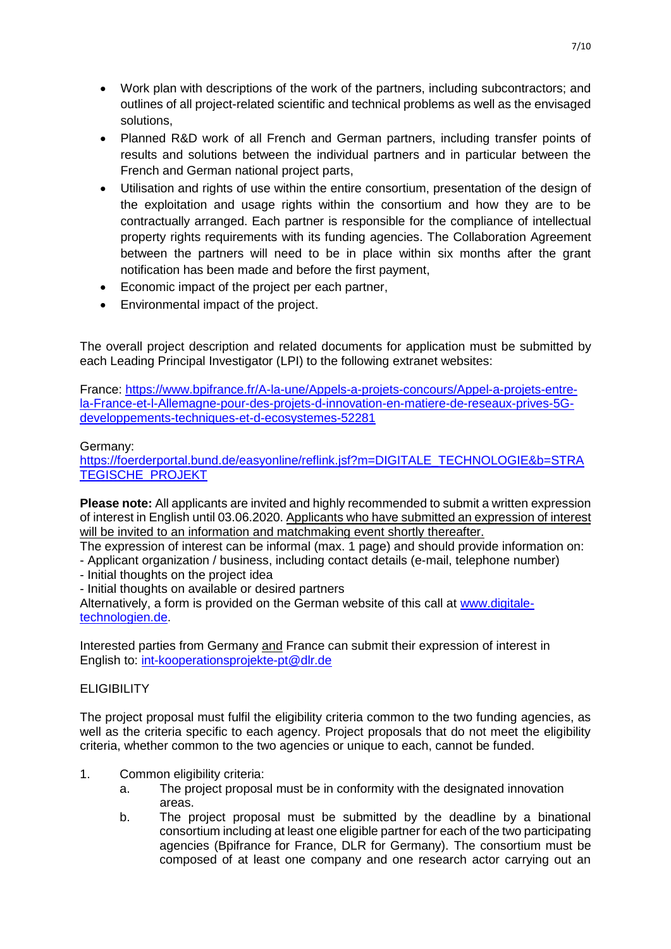- Work plan with descriptions of the work of the partners, including subcontractors; and outlines of all project-related scientific and technical problems as well as the envisaged solutions,
- Planned R&D work of all French and German partners, including transfer points of results and solutions between the individual partners and in particular between the French and German national project parts,
- Utilisation and rights of use within the entire consortium, presentation of the design of the exploitation and usage rights within the consortium and how they are to be contractually arranged. Each partner is responsible for the compliance of intellectual property rights requirements with its funding agencies. The Collaboration Agreement between the partners will need to be in place within six months after the grant notification has been made and before the first payment,
- Economic impact of the project per each partner,
- Environmental impact of the project.

The overall project description and related documents for application must be submitted by each Leading Principal Investigator (LPI) to the following extranet websites:

France: [https://www.bpifrance.fr/A-la-une/Appels-a-projets-concours/Appel-a-projets-entre](https://www.bpifrance.fr/A-la-une/Appels-a-projets-concours/Appel-a-projets-entre-la-France-et-l-Allemagne-pour-des-projets-d-innovation-en-matiere-de-reseaux-prives-5G-developpements-techniques-et-d-ecosystemes-52281)[la-France-et-l-Allemagne-pour-des-projets-d-innovation-en-matiere-de-reseaux-prives-5G](https://www.bpifrance.fr/A-la-une/Appels-a-projets-concours/Appel-a-projets-entre-la-France-et-l-Allemagne-pour-des-projets-d-innovation-en-matiere-de-reseaux-prives-5G-developpements-techniques-et-d-ecosystemes-52281)[developpements-techniques-et-d-ecosystemes-52281](https://www.bpifrance.fr/A-la-une/Appels-a-projets-concours/Appel-a-projets-entre-la-France-et-l-Allemagne-pour-des-projets-d-innovation-en-matiere-de-reseaux-prives-5G-developpements-techniques-et-d-ecosystemes-52281)

## Germany:

[https://foerderportal.bund.de/easyonline/reflink.jsf?m=DIGITALE\\_TECHNOLOGIE&b=STRA](https://foerderportal.bund.de/easyonline/reflink.jsf?m=DIGITALE_TECHNOLOGIE&b=STRATEGISCHE_PROJEKT) [TEGISCHE\\_PROJEKT](https://foerderportal.bund.de/easyonline/reflink.jsf?m=DIGITALE_TECHNOLOGIE&b=STRATEGISCHE_PROJEKT)

**Please note:** All applicants are invited and highly recommended to submit a written expression of interest in English until 03.06.2020. Applicants who have submitted an expression of interest will be invited to an information and matchmaking event shortly thereafter.

The expression of interest can be informal (max. 1 page) and should provide information on:

- Applicant organization / business, including contact details (e-mail, telephone number)
- Initial thoughts on the project idea
- Initial thoughts on available or desired partners

Alternatively, a form is provided on the German website of this call at [www.digitale](http://www.digitale-technologien.de/)[technologien.de.](http://www.digitale-technologien.de/)

Interested parties from Germany and France can submit their expression of interest in English to: [int-kooperationsprojekte-pt@dlr.de](mailto:int-kooperationsprojekte-pt@dlr.de)

## **ELIGIBILITY**

The project proposal must fulfil the eligibility criteria common to the two funding agencies, as well as the criteria specific to each agency. Project proposals that do not meet the eligibility criteria, whether common to the two agencies or unique to each, cannot be funded.

- 1. Common eligibility criteria:
	- a. The project proposal must be in conformity with the designated innovation areas.
	- b. The project proposal must be submitted by the deadline by a binational consortium including at least one eligible partner for each of the two participating agencies (Bpifrance for France, DLR for Germany). The consortium must be composed of at least one company and one research actor carrying out an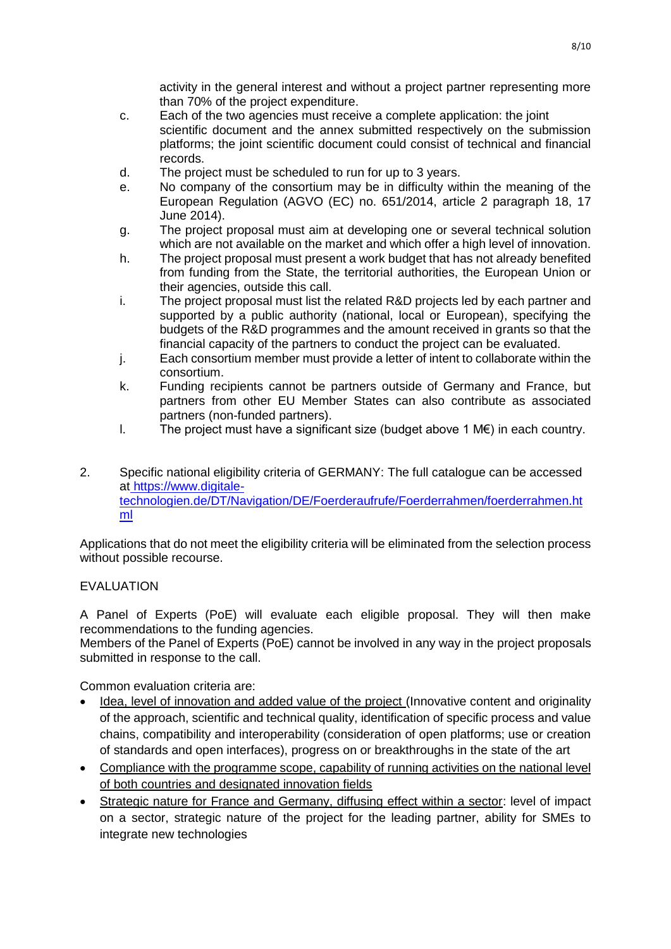activity in the general interest and without a project partner representing more than 70% of the project expenditure.

- c. Each of the two agencies must receive a complete application: the joint scientific document and the annex submitted respectively on the submission platforms; the joint scientific document could consist of technical and financial records.
- d. The project must be scheduled to run for up to 3 years.
- e. No company of the consortium may be in difficulty within the meaning of the European Regulation (AGVO (EC) no. 651/2014, article 2 paragraph 18, 17 June 2014).
- g. The project proposal must aim at developing one or several technical solution which are not available on the market and which offer a high level of innovation.
- h. The project proposal must present a work budget that has not already benefited from funding from the State, the territorial authorities, the European Union or their agencies, outside this call.
- i. The project proposal must list the related R&D projects led by each partner and supported by a public authority (national, local or European), specifying the budgets of the R&D programmes and the amount received in grants so that the financial capacity of the partners to conduct the project can be evaluated.
- j. Each consortium member must provide a letter of intent to collaborate within the consortium.
- k. Funding recipients cannot be partners outside of Germany and France, but partners from other EU Member States can also contribute as associated partners (non-funded partners).
- l. The project must have a significant size (budget above 1 M€) in each country.
- 2. Specific national eligibility criteria of GERMANY: The full catalogue can be accessed at [https://www.digitale](https://www.digitale-technologien.de/DT/Navigation/DE/Foerderaufrufe/Foerderrahmen/foerderrahmen.html)[technologien.de/DT/Navigation/DE/Foerderaufrufe/Foerderrahmen/foerderrahmen.ht](https://www.digitale-technologien.de/DT/Navigation/DE/Foerderaufrufe/Foerderrahmen/foerderrahmen.html) [ml](https://www.digitale-technologien.de/DT/Navigation/DE/Foerderaufrufe/Foerderrahmen/foerderrahmen.html)

Applications that do not meet the eligibility criteria will be eliminated from the selection process without possible recourse.

## EVALUATION

A Panel of Experts (PoE) will evaluate each eligible proposal. They will then make recommendations to the funding agencies.

Members of the Panel of Experts (PoE) cannot be involved in any way in the project proposals submitted in response to the call.

Common evaluation criteria are:

- Idea, level of innovation and added value of the project (Innovative content and originality of the approach, scientific and technical quality, identification of specific process and value chains, compatibility and interoperability (consideration of open platforms; use or creation of standards and open interfaces), progress on or breakthroughs in the state of the art
- Compliance with the programme scope, capability of running activities on the national level of both countries and designated innovation fields
- Strategic nature for France and Germany, diffusing effect within a sector: level of impact on a sector, strategic nature of the project for the leading partner, ability for SMEs to integrate new technologies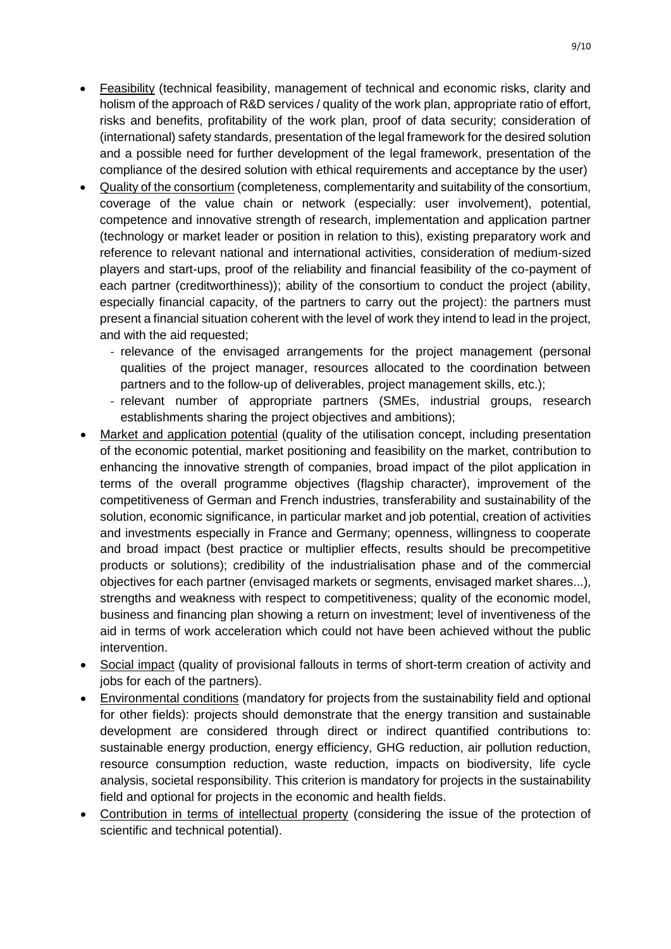- Feasibility (technical feasibility, management of technical and economic risks, clarity and holism of the approach of R&D services / quality of the work plan, appropriate ratio of effort, risks and benefits, profitability of the work plan, proof of data security; consideration of (international) safety standards, presentation of the legal framework for the desired solution and a possible need for further development of the legal framework, presentation of the compliance of the desired solution with ethical requirements and acceptance by the user)
- Quality of the consortium (completeness, complementarity and suitability of the consortium, coverage of the value chain or network (especially: user involvement), potential, competence and innovative strength of research, implementation and application partner (technology or market leader or position in relation to this), existing preparatory work and reference to relevant national and international activities, consideration of medium-sized players and start-ups, proof of the reliability and financial feasibility of the co-payment of each partner (creditworthiness)); ability of the consortium to conduct the project (ability, especially financial capacity, of the partners to carry out the project): the partners must present a financial situation coherent with the level of work they intend to lead in the project, and with the aid requested;
	- relevance of the envisaged arrangements for the project management (personal qualities of the project manager, resources allocated to the coordination between partners and to the follow-up of deliverables, project management skills, etc.);
	- relevant number of appropriate partners (SMEs, industrial groups, research establishments sharing the project objectives and ambitions);
- Market and application potential (quality of the utilisation concept, including presentation of the economic potential, market positioning and feasibility on the market, contribution to enhancing the innovative strength of companies, broad impact of the pilot application in terms of the overall programme objectives (flagship character), improvement of the competitiveness of German and French industries, transferability and sustainability of the solution, economic significance, in particular market and job potential, creation of activities and investments especially in France and Germany; openness, willingness to cooperate and broad impact (best practice or multiplier effects, results should be precompetitive products or solutions); credibility of the industrialisation phase and of the commercial objectives for each partner (envisaged markets or segments, envisaged market shares...), strengths and weakness with respect to competitiveness; quality of the economic model, business and financing plan showing a return on investment; level of inventiveness of the aid in terms of work acceleration which could not have been achieved without the public intervention.
- Social impact (quality of provisional fallouts in terms of short-term creation of activity and jobs for each of the partners).
- Environmental conditions (mandatory for projects from the sustainability field and optional for other fields): projects should demonstrate that the energy transition and sustainable development are considered through direct or indirect quantified contributions to: sustainable energy production, energy efficiency, GHG reduction, air pollution reduction, resource consumption reduction, waste reduction, impacts on biodiversity, life cycle analysis, societal responsibility. This criterion is mandatory for projects in the sustainability field and optional for projects in the economic and health fields.
- Contribution in terms of intellectual property (considering the issue of the protection of scientific and technical potential).